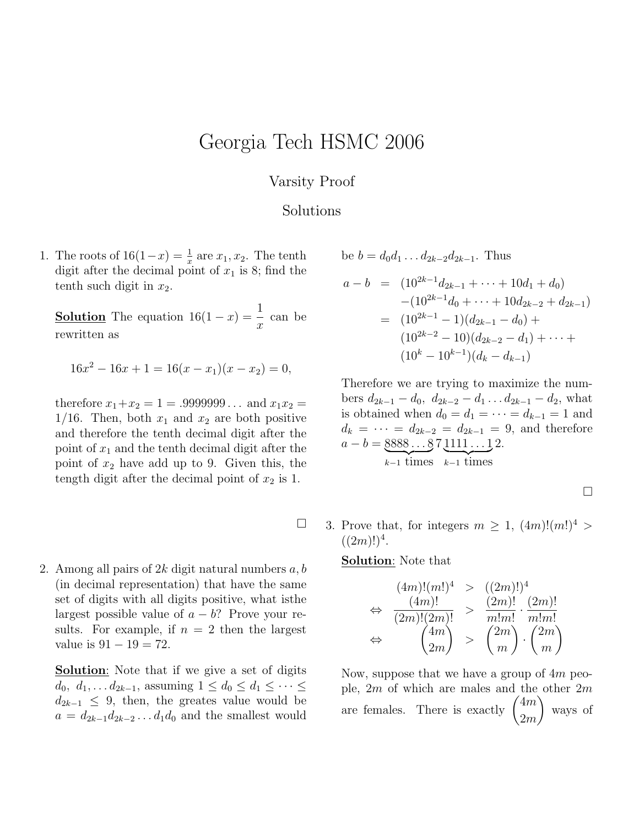## Georgia Tech HSMC 2006

## Varsity Proof

## Solutions

 $\Box$ 

1. The roots of  $16(1-x) = \frac{1}{x}$  are  $x_1, x_2$ . The tenth digit after the decimal point of  $x_1$  is 8; find the tenth such digit in  $x_2$ .

**Solution** The equation  $16(1-x) = \frac{1}{x}$  $\overline{x}$ can be rewritten as

$$
16x^2 - 16x + 1 = 16(x - x_1)(x - x_2) = 0,
$$

therefore  $x_1+x_2 = 1 = .9999999...$  and  $x_1x_2 =$  $1/16$ . Then, both  $x_1$  and  $x_2$  are both positive and therefore the tenth decimal digit after the point of  $x_1$  and the tenth decimal digit after the point of  $x_2$  have add up to 9. Given this, the tength digit after the decimal point of  $x_2$  is 1.

2. Among all pairs of  $2k$  digit natural numbers  $a, b$ (in decimal representation) that have the same set of digits with all digits positive, what isthe largest possible value of  $a - b$ ? Prove your results. For example, if  $n = 2$  then the largest value is  $91 - 19 = 72$ .

**Solution:** Note that if we give a set of digits  $d_0, d_1, \ldots d_{2k-1}$ , assuming  $1 \leq d_0 \leq d_1 \leq \cdots \leq d_k$  $d_{2k-1} \leq 9$ , then, the greates value would be  $a = d_{2k-1}d_{2k-2}\dots d_1d_0$  and the smallest would be  $b = d_0d_1 \ldots d_{2k-2}d_{2k-1}$ . Thus

$$
a - b = (10^{2k-1}d_{2k-1} + \dots + 10d_1 + d_0)
$$
  
\n
$$
-(10^{2k-1}d_0 + \dots + 10d_{2k-2} + d_{2k-1})
$$
  
\n
$$
= (10^{2k-1} - 1)(d_{2k-1} - d_0) +
$$
  
\n
$$
(10^{2k-2} - 10)(d_{2k-2} - d_1) + \dots +
$$
  
\n
$$
(10^k - 10^{k-1})(d_k - d_{k-1})
$$

Therefore we are trying to maximize the numbers  $d_{2k-1} - d_0$ ,  $d_{2k-2} - d_1 \ldots d_{2k-1} - d_2$ , what is obtained when  $d_0 = d_1 = \cdots = d_{k-1} = 1$  and  $d_k = \cdots = d_{2k-2} = d_{2k-1} = 9$ , and therefore  $a - b = 8888...8$  $\sum_{k-1}$  times 7 1111 . . . 1  $\sum_{k-1}$  times 2.

 $\Box$ 

3. Prove that, for integers  $m \geq 1$ ,  $(4m)! (m!)^4 > 1$  $((2m)!)^4$ .

Solution: Note that

$$
\Leftrightarrow \frac{(4m)!(m!)^4 \Rightarrow ((2m)!)^4}{(2m)!(2m)!} > \frac{(2m)!}{m!m!} \cdot \frac{(2m)!}{m!m!}
$$

$$
\Leftrightarrow \frac{\binom{4m}{m}}{\binom{4m}{2m}} > \binom{2m}{m} \cdot \binom{2m}{m}
$$

Now, suppose that we have a group of 4m people,  $2m$  of which are males and the other  $2m$ are females. There is exactly  $\binom{4m}{2}$ 2m  $\setminus$ ways of